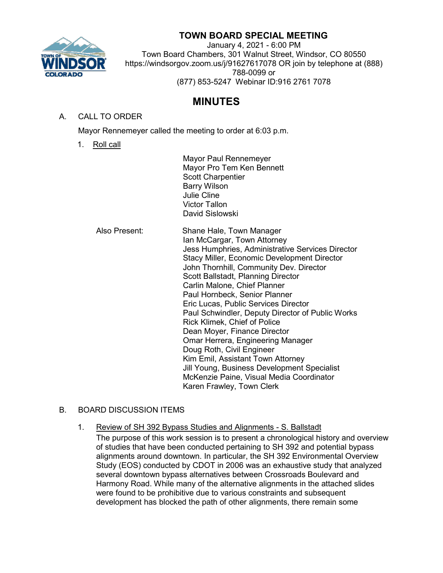

## **TOWN BOARD SPECIAL MEETING**

January 4, 2021 - 6:00 PM Town Board Chambers, 301 Walnut Street, Windsor, CO 80550 https://windsorgov.zoom.us/j/91627617078 OR join by telephone at (888) 788-0099 or (877) 853-5247 Webinar ID:916 2761 7078

## **MINUTES**

## A. CALL TO ORDER

Mayor Rennemeyer called the meeting to order at 6:03 p.m.

1. Roll call

Mayor Paul Rennemeyer Mayor Pro Tem Ken Bennett Scott Charpentier Barry Wilson Julie Cline Victor Tallon David Sislowski

Also Present: Shane Hale, Town Manager Ian McCargar, Town Attorney Jess Humphries, Administrative Services Director Stacy Miller, Economic Development Director John Thornhill, Community Dev. Director Scott Ballstadt, Planning Director Carlin Malone, Chief Planner Paul Hornbeck, Senior Planner Eric Lucas, Public Services Director Paul Schwindler, Deputy Director of Public Works Rick Klimek, Chief of Police Dean Moyer, Finance Director Omar Herrera, Engineering Manager Doug Roth, Civil Engineer Kim Emil, Assistant Town Attorney Jill Young, Business Development Specialist McKenzie Paine, Visual Media Coordinator Karen Frawley, Town Clerk

## B. BOARD DISCUSSION ITEMS

1. Review of SH 392 Bypass Studies and Alignments - S. Ballstadt The purpose of this work session is to present a chronological history and overview of studies that have been conducted pertaining to SH 392 and potential bypass alignments around downtown. In particular, the SH 392 Environmental Overview Study (EOS) conducted by CDOT in 2006 was an exhaustive study that analyzed several downtown bypass alternatives between Crossroads Boulevard and Harmony Road. While many of the alternative alignments in the attached slides were found to be prohibitive due to various constraints and subsequent development has blocked the path of other alignments, there remain some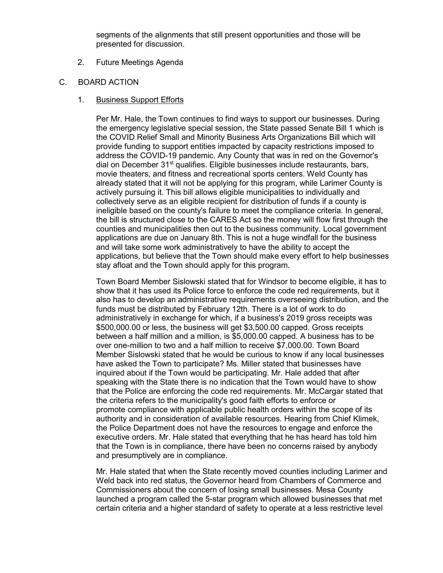segments of the alignments that still present opportunities and those will be presented for discussion.

- 2. Future Meetings Agenda
- C. BOARD ACTION
	- 1. Business Support Efforts

Per Mr. Hale, the Town continues to find ways to support our businesses. During the emergency legislative special session, the State passed Senate Bill 1 which is the COVID Relief Small and Minority Business Arts Organizations Bill which will provide funding to support entities impacted by capacity restrictions imposed to address the COVID-19 pandemic. Any County that was in red on the Governor's dial on December  $31<sup>st</sup>$  qualifies. Eligible businesses include restaurants, bars, movie theaters, and fitness and recreational sports centers. Weld County has already stated that it will not be applying for this program, while Larimer County is actively pursuing it. This bill allows eligible municipalities to individually and collectively serve as an eligible recipient for distribution of funds if a county is ineligible based on the county's failure to meet the compliance criteria. In general, the bill is structured close to the CARES Act so the money will flow first through the counties and municipalities then out to the business community. Local government applications are due on January 8th. This is not a huge windfall for the business and will take some work administratively to have the ability to accept the applications, but believe that the Town should make every effort to help businesses stay afloat and the Town should apply for this program.

Town Board Member Sislowski stated that for Windsor to become eligible, it has to show that it has used its Police force to enforce the code red requirements, but it also has to develop an administrative requirements overseeing distribution, and the funds must be distributed by February 12th. There is a lot of work to do administratively in exchange for which, if a business's 2019 gross receipts was \$500,000.00 or less, the business will get \$3,500.00 capped. Gross receipts between a half million and a million, is \$5,000.00 capped. A business has to be over one-million to two and a half million to receive \$7,000.00. Town Board Member Sislowski stated that he would be curious to know if any local businesses have asked the Town to participate? Ms. Miller stated that businesses have inquired about if the Town would be participating. Mr. Hale added that after speaking with the State there is no indication that the Town would have to show that the Police are enforcing the code red requirements. Mr. McCargar stated that the criteria refers to the municipality's good faith efforts to enforce or promote compliance with applicable public health orders within the scope of its authority and in consideration of available resources. Hearing from Chief Klimek, the Police Department does not have the resources to engage and enforce the executive orders. Mr. Hale stated that everything that he has heard has told him that the Town is in compliance, there have been no concerns raised by anybody and presumptively are in compliance.

Mr. Hale stated that when the State recently moved counties including Larimer and Weld back into red status, the Governor heard from Chambers of Commerce and Commissioners about the concern of losing small businesses. Mesa County launched a program called the 5-star program which allowed businesses that met certain criteria and a higher standard of safety to operate at a less restrictive level